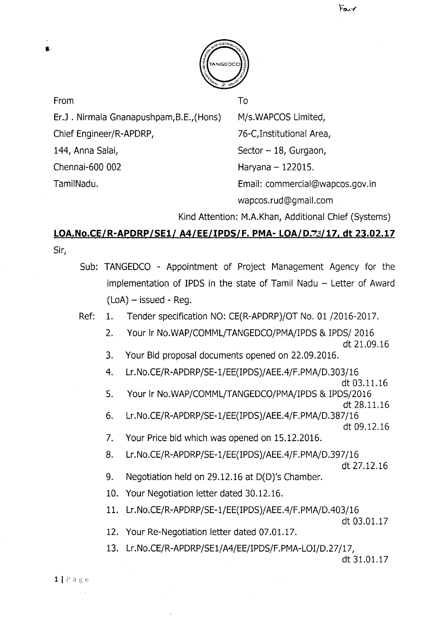

From To

i,

ErJ . Nirmala Gnanapushpam,B.E.,(Hons) M/s.WAPCOSLimited,

Chief Engineer/R-APDRP, 76-C,Institutional Area,

144, Anna Salai, Sector - 18, Gurgaon, Chennai-600 002 Haryana - 122015. TamilNadu. Email: commercial@wapcos.gov.in wapcos.rud@gmail.com .

Kind Attention: M.A.Khan, Additional Chief (Systems)

# **LOA.No.CE/R-APDRP/SE1/ A4/EE/IPDS/F. PMA- LOA/D.7.3/17, dt 23.02.17** Sir,

- Sub: TANGEDCO Appointment of Project Management Agency for the implementation of IPDS in the state of Tamil Nadu  $-$  Letter of Award  $(LoA)$  – issued - Reg.
- Ref: 1. Tender specification NO: CE(R-APDRP)/OT No. 01 /2016-2017.
	- 2. Your Ir NO.WAP/COMML/TANGEDCO/PMA/IPDS& IPDS/ 2016
		- dt 21.09.16
	- 3. Your Bid proposal documents opened on 22.09.2016.
	- 4. Lr.No.CE/R-APDRP/SE-1/EE(IPDS)/ AEEA/F.PMA/D.303/16
		- dt 03.11.16
	- 5. Your Ir No.WAP/COMML/TANGEDCO/PMA/IPDS & IPDS/2016 dt 28.11.16
	- 6. Lr.No.CE/R-APDRP/SE-1/EE(IPDS)/ AEEA/F.PMA/D.387/16 dt 09.12.16
	- 7. Your Price bid which was opened on 15.12.2016.
	- 8. Lr.No.CE/R-APDRP/SE-1/EE(IPDS)/AEE.4/F.PMA/D.397/16

- 9. Negotiation held on 29.12.16 at D(D)'s Chamber.
- 10. Your Negotiation letter dated 30.12.16.
- 11. Lr.No.CE/R-APDRP/SE-1/EE(IPDS)/ AEEA/F.PMA/DA03/16

```
dt 03.01.17
```
- 12. Your Re-Negotiation letter dated 07.01.17.
- 13. Lr.No.CE/R-APDRP/SE1/A4/EE/IPDS/F.PMA-LOI/D.27/17,

dt 31.01.17

 $1 | P \text{age}$ 

dt 27.12.16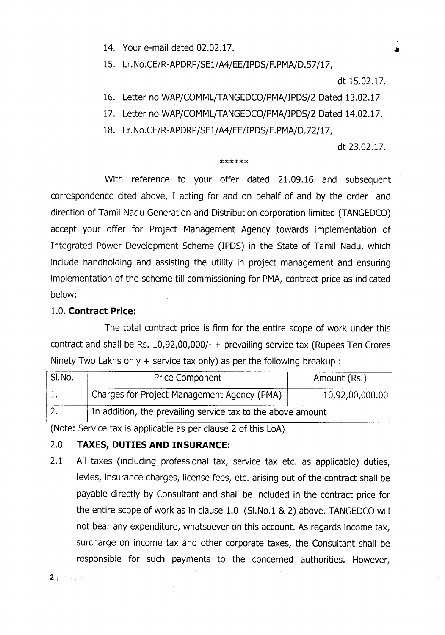14. Your e-mail dated 02.02.17.

15. Lr.No.CE/R-APDRP/SE1/A4/EE/IPDS/F.PMA/D.57/17,

dt 15.02.17.

- 16. Letter no WAP/COMML/TANGEDCO/PMA/IPDS/2 Dated 13.02.17
- 17. Letter no WAP/COMML/TANGEDCO/PMA/IPDS/2 Dated 14.02.17.
- 18. Lr.No.CE/R-APDRP/SE1/A4/EE/IPDS/F.PMA/D.72/17,

#### dt 23.02.17.

#### \*\*\*\*\*\*

With reference to your offer dated 21.09.16 and subsequent correspondence cited above, I acting for and on behalf of and by the order and direction of Tamil Nadu Generation and Distribution corporation limited (TANGEDCO) accept your offer for Project Management Agency towards implementation of Integrated Power Development Scheme (IPDS) in the State of Tamil Nadu, which include handholding and assisting the utility in project management and ensuring implementation of the scheme till commissioning for PMA, contract price as indicated below:

### 1.0. **Contract Price:**

The total contract price is firm for the entire scope of work under this contract and shall be Rs.  $10,92,00,000/$ - + prevailing service tax (Rupees Ten Crores Ninety Two Lakhs only  $+$  service tax only) as per the following breakup:

| SI.No. | Price Component                                             | Amount (Rs.)    |
|--------|-------------------------------------------------------------|-----------------|
|        | Charges for Project Management Agency (PMA)                 | 10,92,00,000.00 |
|        | In addition, the prevailing service tax to the above amount |                 |

(Note: Service tax is applicable as per clause 2 of this LoA)

### 2.0 **TAXES, DUTIES AND INSURANCE:**

2.1 All taxes (including professional tax, service tax etc. as applicable) duties, levies, insurance charges, license fees, etc. arising out of the contract shall be payable directly by Consultant and shall be included in the contract price for the entire scope of work as in clause 1.0 (SI.No.1 & 2) above. TANGEDCO will not bear any expenditure, whatsoever on this account. As regards income tax, surcharge on income tax and other corporate taxes, the Consultant shall be responsible for such payments to the concerned authorities. However,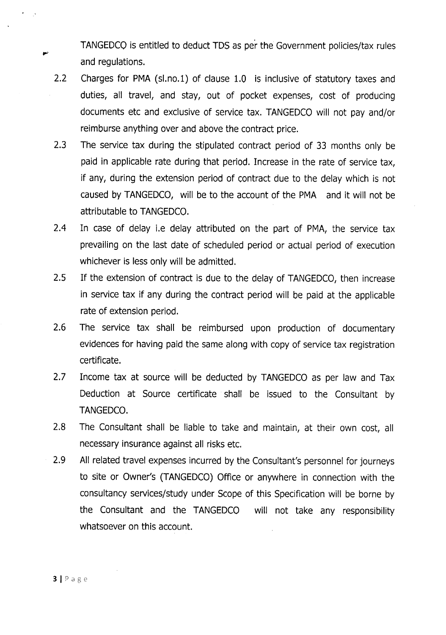TANGEDCO is entitled to deduct TDS as per the Government policies/tax rules and regulations.

- 2.2 Charges for PMA (sl.no.1) of clause 1.0 is inclusive of statutory taxes and duties, all travel, and stay, out of pocket expenses, cost of producing documents etc and exclusive of service tax. TANGEDCOwill not pay and/or reimburse anything over and above the contract price.
- 2.3 The service tax during the stipulated contract period of 33 months only be paid in applicable rate during that period. Increase in the rate of service tax, if any, during the extension period of contract due to the delay which is not caused by TANGEDCO, will be to the account of the PMA and it will not be attributable to TANGEDCO.
- 2.4 In case of delay i.e delay attributed on the part of PMA, the service tax prevailing on the last date of scheduled period or actual period of execution whichever is less only will be admitted.
- 2.5 If the extension of contract is due to the delay of TANGEDCO, then increase in service tax if any during the contract period will be paid at the applicable rate of extension period.
- 2.6 The service tax shall be reimbursed upon production of documentary evidences for having paid the same along with copy of service tax registration certificate.
- 2.7 Income tax at source will be deducted by TANGEDCO as per law and Tax Deduction at Source certificate shall be issued to the Consultant by TANGEDCO.
- 2.8 The Consultant shall be liable to take and maintain, at their own cost, all necessary insurance against all risks etc.
- 2.9 All related travel expenses incurred by the Consultant's personnel for journeys to site or Owner's (TANGEDCO) Office or anywhere in connection with the consultancy services/study under Scope of this Specification will be borne by the Consultant and the TANGEDCO will not take any responsibility whatsoever on this account.

 $\mathcal{N}$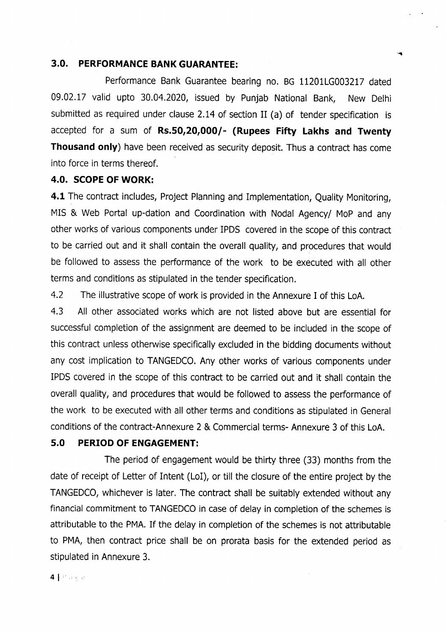### **3.0. PERFORMANCE BANK GUARANTEE:**

Performance Bank Guarantee bearing no. BG 11201LG003217 dated 09.02.17 valid upto 30.04.2020, issued by Punjab National Bank, New Delhi submitted as required under clause 2.14 of section II (a) of tender specification is accepted for a sum of **Rs.SO,20,000/- (Rupees Fifty Lakhs and Twenty Thousand only)** have been received as security deposit. Thus a contract has come into force in terms thereof.

#### **4.0. SCOPEOF WORK:**

**4.1** The contract includes, Project Planning and Implementation, Quality Monitoring, MIS & Web Portal up-dation and Coordination with Nodal Agency/ MoP and any other works of various components under IPDS covered in the scope of this contract to be carried out and it shall contain the overall quality, and procedures that would be followed to assess the performance of the work to be executed with all other terms and conditions as stipulated in the tender specification.

4.2 The illustrative scope of work is provided in the Annexure I of this LoA.

4.3 All other associated works which are not listed above but are essential for successful completion of the assignment are deemed to be included in the scope of this contract unless otherwise specifically excluded in the bidding documents without any cost implication to TANGEDCO. Any other works of various components under IPDS covered in the scope of this contract to be carried out and it shall contain the overall quality, and procedures that would be followed to assess the performance of the work to be executed with all other terms and conditions as stipulated in General conditions of the contract-Annexure 2 & Commercial terms- Annexure 3 of this LoA.

### **5.0 PERIOD OF ENGAGEMENT:**

The period of engagement would be thirty three (33) months from the date of receipt of Letter of Intent (LoI), or till the closure of the entire project by the TANGEDCO,whichever is later. The contract shall be suitably extended without any financial commitment to TANGEDCO in case of delay in completion of the schemes is attributable to the PMA. If the delay in completion of the schemes is not attributable to PMA, then contract price shall be on prorata basis for the extended period as stipulated in Annexure 3.

41 Page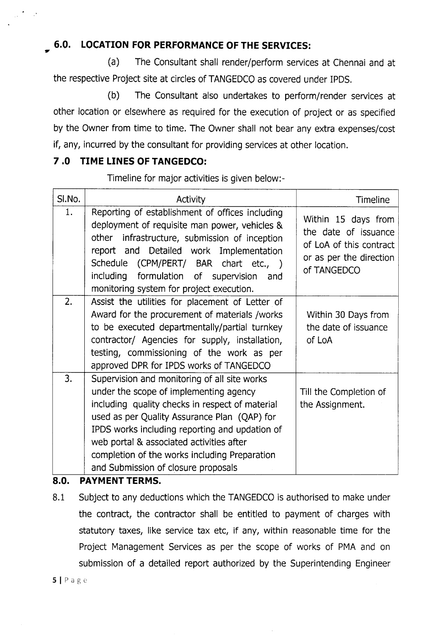# **6.0. LOCATION FOR PERFORMANCE OF THE SERVICES:** ..

(a) The Consultant shall render/perform services at Chennai and at the respective Project site at circles of TANGEDCO as covered under IPDS.

(b) The Consultant also undertakes to perform/render services at other location or elsewhere as required for the execution of project or as specified by the Owner from time to time. The Owner shall not bear any extra expenses/cost if, any, incurred by the consultant for providing services at other location.

## **7.0 TIME LINES OF TANGEDCO:**

Timeline for major activities is given below:-

| SI.No. | Activity                                                                                                                                                                                                                                                                                                                                                                        | <b>Timeline</b>                                                                                                  |
|--------|---------------------------------------------------------------------------------------------------------------------------------------------------------------------------------------------------------------------------------------------------------------------------------------------------------------------------------------------------------------------------------|------------------------------------------------------------------------------------------------------------------|
| 1.     | Reporting of establishment of offices including<br>deployment of requisite man power, vehicles &<br>other infrastructure, submission of inception<br>report and Detailed work Implementation<br>Schedule (CPM/PERT/ BAR chart etc., )<br>including formulation of supervision<br>and<br>monitoring system for project execution.                                                | Within 15 days from<br>the date of issuance<br>of LoA of this contract<br>or as per the direction<br>of TANGEDCO |
| 2.     | Assist the utilities for placement of Letter of<br>Award for the procurement of materials /works<br>to be executed departmentally/partial turnkey<br>contractor/ Agencies for supply, installation,<br>testing, commissioning of the work as per<br>approved DPR for IPDS works of TANGEDCO                                                                                     | Within 30 Days from<br>the date of issuance<br>of LoA                                                            |
| 3.     | Supervision and monitoring of all site works<br>under the scope of implementing agency<br>including quality checks in respect of material<br>used as per Quality Assurance Plan (QAP) for<br>IPDS works including reporting and updation of<br>web portal & associated activities after<br>completion of the works including Preparation<br>and Submission of closure proposals | Till the Completion of<br>the Assignment.                                                                        |

### **S.O. PAYMENT TERMS.**

8.1 Subject to any deductions which the TANGEDCO is authorised to make under the contract, the contractor shall be entitled to payment of charges with statutory taxes, like service tax etc, if any, within reasonable time for the Project Management Services as per the scope of works of PMA and on submission of a detailed report authorized by the Superintending Engineer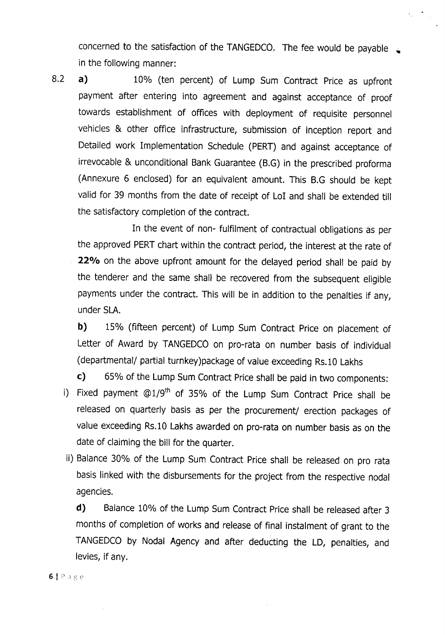concerned to the satisfaction of the TANGEDCO. The fee would be payable  $\Box$ in the following manner:

 $\epsilon_{\mu}$  .

8.2 **a)** 10% (ten percent) of Lump Sum Contract Price as upfront payment after entering into agreement and against acceptance of proof towards establishment of offices with deployment of requisite personnel vehicles & other office infrastructure, submission of inception report and Detailed work Implementation Schedule (PERT) and against acceptance of irrevocable & unconditional Bank Guarantee (B.G) in the prescribed proforma (Annexure 6 enclosed) for an equivalent amount. This B.G should be kept valid for 39 months from the date of receipt of LoI and shall be extended till the satisfactory completion of the contract.

In the event of non- fulfilment of contractual obligations as per the approved PERT chart within the contract period, the interest at the rate of **220/0** on the above upfront amount for the delayed period shall be paid by the tenderer and the same shall be recovered from the subsequent eligible payments under the contract. This will be in addition to the penalties if any, under SLA.

**b)** 15% (fifteen percent) of Lump Sum Contract Price on placement of Letter of Award by TANGEDCO on pro-rata on number basis of individual (departmental/ partial turnkey)package of value exceeding Rs.10 Lakhs

**c)** 65% of the Lump Sum Contract Priceshall be paid in two components:

- i) Fixed payment  $@1/9<sup>th</sup>$  of 35% of the Lump Sum Contract Price shall be released on quarterly basis as per the procurement/ erection packages of value exceeding Rs.10 Lakhs awarded on pro-rata on number basis as on the date of claiming the bill for the quarter.
- ii) Balance 30% of the Lump Sum Contract Price shall be released on pro rata basis linked with the disbursements for the project from the respective nodal agencies.

**d)** Balance 10% of the Lump Sum Contract Price shall be released after 3 months of completion of works and release of final instalment of grant to the TANGEDCO by Nodal Agency and after deducting the LD, penalties, and levies, if any.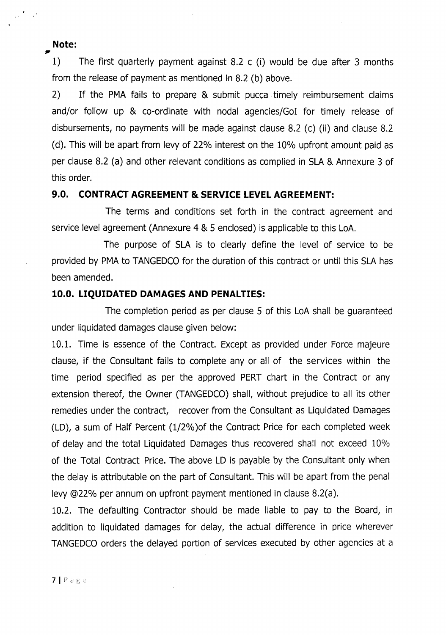### **Note:**

1) The first quarterly payment against 8.2 c (i) would be due after 3 months from the release of payment as mentioned in 8.2 (b) above.

2) If the PMA fails to prepare & submit pucca timely reimbursement claims and/or follow up & co-ordinate with nodal agencies/Gol for timely release of disbursements, no payments will be made against clause 8.2 (c) (ii) and clause 8.2 (d). This will be apart from levy of 22% interest on the 10% upfront amount paid as per clause 8.2 (a) and other relevant conditions as complied in SLA& Annexure 3 of this order.

#### **9.0. CONTRACT AGREEMENT & SERVICE LEVEL AGREEMENT:**

The terms and conditions set forth in the contract agreement and service level agreement (Annexure 4 & 5 enclosed) is applicable to this LoA.

The purpose of SLA is to clearly define the level of service to be provided by PMA to TANGEDCO for the duration of this contract or until this SLA has been amended.

#### **10.0. LIQUIDATED DAMAGES AND PENALTIES:**

The completion period as per clause 5 of this LoA shall be guaranteed under liquidated damages clause given below:

10.1. Time is essence of the Contract. Except as provided under Force majeure clause, if the Consultant fails to complete any or all of the services within the time period specified as per the approved PERT chart in the Contract or any extension thereof, the Owner (TANGEDCO) shall, without prejudice to all its other remedies under the contract, recover from the Consultant as Liquidated Damages (LD), a sum of Half Percent (1/2%)of the Contract Price for each completed week of delay and the total Liquidated Damages thus recovered shall not exceed 10% of the Total Contract Price. The above LD is payable by the Consultant only when the delay is attributable on the part of Consultant. This will be apart from the penal levy @22% per annum on upfront payment mentioned in clause 8.2(a).

10.2. The defaulting Contractor should be made liable to pay to the Board, in addition to liquidated damages for delay, the actual difference in price wherever TANGEDCO orders the delayed portion of services executed by other agencies at a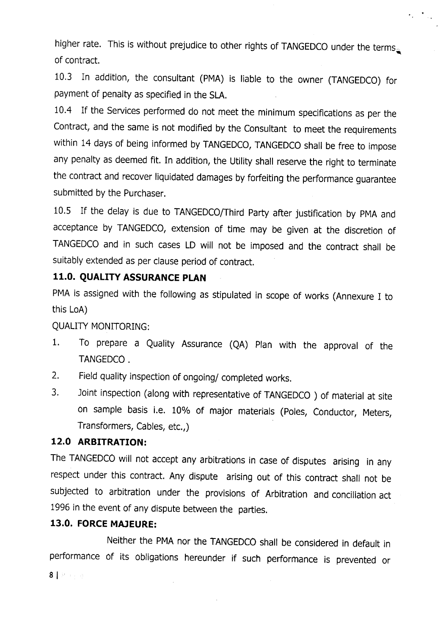nigher rate. This is without prejudice to other rights of TANGEDCO under the terms . of contract.

 $\label{eq:2} \frac{1}{2} \int_{\mathbb{R}^3} \frac{1}{\sqrt{2}} \, \frac{1}{\sqrt{2}} \, \frac{1}{\sqrt{2}} \, \frac{1}{\sqrt{2}} \, \frac{1}{\sqrt{2}} \, \frac{1}{\sqrt{2}} \, \frac{1}{\sqrt{2}} \, \frac{1}{\sqrt{2}} \, \frac{1}{\sqrt{2}} \, \frac{1}{\sqrt{2}} \, \frac{1}{\sqrt{2}} \, \frac{1}{\sqrt{2}} \, \frac{1}{\sqrt{2}} \, \frac{1}{\sqrt{2}} \, \frac{1}{\sqrt{2}} \, \frac{1}{\sqrt{2}} \, \frac$ 

10.3 In addition, the consultant (PMA) is liable to the owner (TANGEDCO) for payment of penalty as specified in the SLA.

*lOA* If the Services performed do not meet the minimum specifications as per the Contract, and the same is not modified by the Consultant to meet the requirements within 14 days of being informed by TANGEDCO, TANGEDCO shall be free to impose any penalty as deemed fit. In addition, the Utility shall reserve the right to terminate the contract and recover liquidated damages by forfeiting the performance guarantee submitted by the Purchaser.

10.5 If the delay is due to TANGEDCO/Third Party after justification by PMA and acceptance by TANGEDCO, extension of time may be given at the discretion of TANGEDCOand in such cases LD will not be imposed and the contract shall be suitably extended as per clause period of contract.

# **11.0. QUALITY ASSURANCE PLAN**

PMA is assigned with the following as stipulated in scope of works (Annexure I to this LoA)

QUALITY MONITORING:

- 1. To prepare a Quality Assurance (QA) Plan with the approval of the TANGEDCO.
- 2. Field quality inspection of ongoing/ completed works.
- 3. Joint inspection (along with representative of TANGEDCO) of material at site on sample basis i.e. 10% of major materials (Poles, Conductor, Meters, Transformers, Cables, etc.,)

### **12.0 ARBITRATION:**

The TANGEDCO will not accept any arbitrations in case of disputes arising in any respect under this contract. Any dispute arising out of this contract shall not be subjected to arbitration under the provisions of Arbitration and conciliation act 1996 in the event of any dispute between the parties.

### **13.0. FORCE MAJEURE:**

Neither the PMA nor the TANGEDCO shall be considered in default in performance of its obligations hereunder if such performance is prevented or 8120 元  $\bar{z}$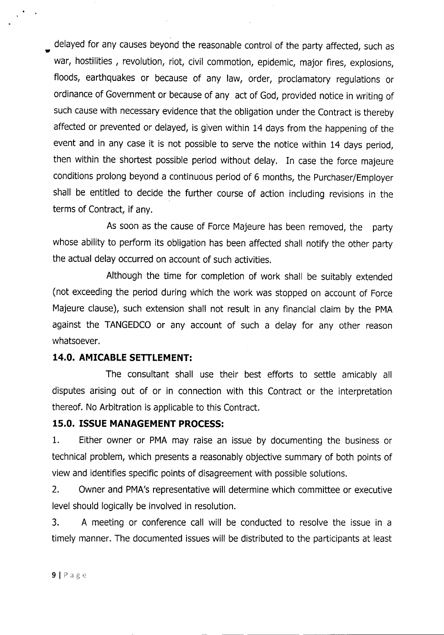delayed for any causes beyond the reasonable control of the party affected, such as war, hostilities, revolution, riot, civil commotion, epidemic, major fires, explosions, floods, earthquakes or because of any law, order, proclamatory regulations or ordinance of Government or because of any act of God, provided notice in writing of such cause with necessary evidence that the obligation under the Contract is thereby affected or prevented or delayed, is given within 14 days from the happening of the event and in any case it is not possible to serve the notice within 14 days period, then within the shortest possible period without delay. In case the force majeure conditions prolong beyond a continuous period of 6 months, the Purchaser/Employer shall be entitled to decide the further course of action including revisions in the terms of Contract, if any.

As soon as the cause of Force Majeure has been removed, the party whose ability to perform its obligation has been affected shall notify the other party the actual delay occurred on account of such activities.

Although the time for completion of work shall be suitably extended (not exceeding the period during which the work was stopped on account of Force Majeure clause), such extension shall not result in any financial claim by the PMA against the TANGEDCO or any account of such a delay for any other reason whatsoever.

### **14.0. AMICABLE SETTLEMENT:**

The consultant shall use their best efforts to settle amicably all disputes arising out of or in connection with this Contract or the interpretation thereof. No Arbitration is applicable to this Contract.

# **15.0. ISSUE MANAGEMENT PROCESS:**

1. Either owner or PMA may raise an issue by documenting the business or technical problem, which presents a reasonably objective summary of both points of view and identifies specific points of disagreement with possible solutions.

2. Owner and PMA's representative will determine which committee or executive level should logically be involved in resolution.

3. A meeting or conference call will be conducted to resolve the issue in a timely manner. The documented issues will be distributed to the participants at least